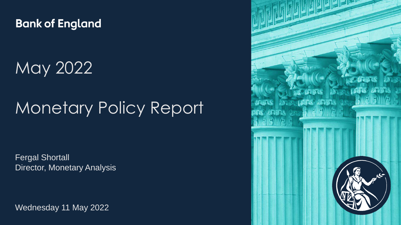**Bank of England** 

May 2022

# Monetary Policy Report

Fergal Shortall Director, Monetary Analysis

Wednesday 11 May 2022

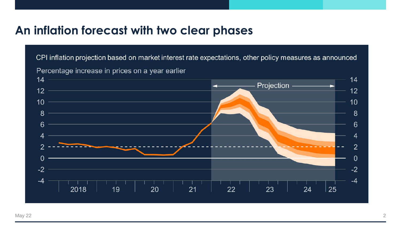#### **An inflation forecast with two clear phases**

CPI inflation projection based on market interest rate expectations, other policy measures as announced



Percentage increase in prices on a year earlier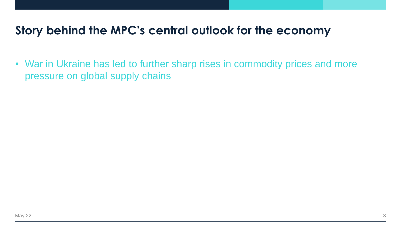• War in Ukraine has led to further sharp rises in commodity prices and more pressure on global supply chains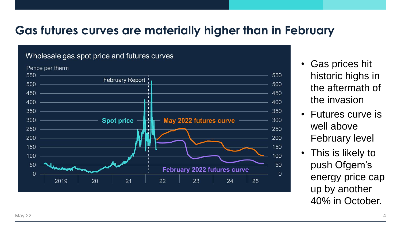#### **Gas futures curves are materially higher than in February**

#### Wholesale gas spot price and futures curves



- Gas prices hit historic highs in the aftermath of the invasion
- Futures curve is well above February level
- This is likely to push Ofgem's energy price cap up by another 40% in October.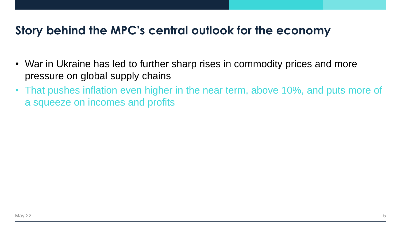- War in Ukraine has led to further sharp rises in commodity prices and more pressure on global supply chains
- That pushes inflation even higher in the near term, above 10%, and puts more of a squeeze on incomes and profits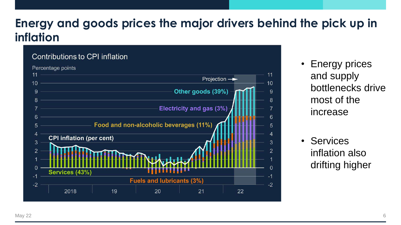### **Energy and goods prices the major drivers behind the pick up in inflation**

#### Contributions to CPI inflation Percentage points  $11$  $11$ Projection  $\rightarrow$  $10<sup>10</sup>$  $10$  $\mathbf{Q}$ 9 8 8 <u>Electricity and gas (3%)</u> 6 6 **Example 20 Food and non-alcoholic beverages (11%)** 5 4 **CPI inflation (per cent)** 3 3  $\overline{2}$  $\overline{2}$ Services (43%)  $-1$ **Fuels and lubricants (3%)**  $-2$  $-2$ 2018 19 20 21 22

- Energy prices and supply bottlenecks drive most of the increase
- Services inflation also drifting higher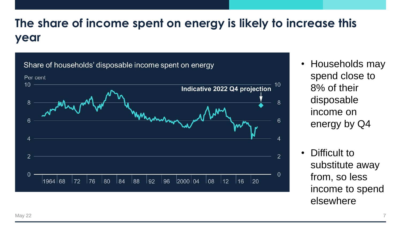## **The share of income spent on energy is likely to increase this year**



- Households may spend close to 8% of their disposable income on energy by Q4
- Difficult to substitute away from, so less income to spend elsewhere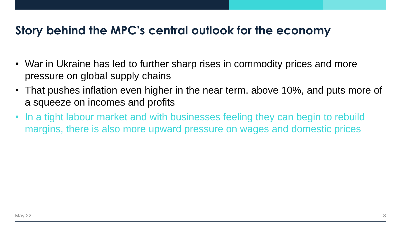- War in Ukraine has led to further sharp rises in commodity prices and more pressure on global supply chains
- That pushes inflation even higher in the near term, above 10%, and puts more of a squeeze on incomes and profits
- In a tight labour market and with businesses feeling they can begin to rebuild margins, there is also more upward pressure on wages and domestic prices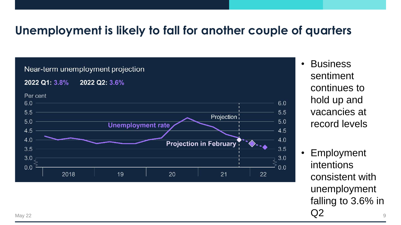#### **Unemployment is likely to fall for another couple of quarters**



- Business sentiment continues to hold up and vacancies at record levels
- Employment intentions consistent with unemployment falling to 3.6% in May 22  $\qquad \qquad \mathsf{Q2}$  9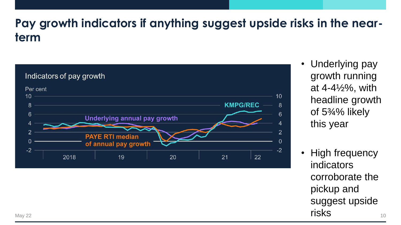### **Pay growth indicators if anything suggest upside risks in the nearterm**



- Underlying pay growth running at 4-4½%, with headline growth of 5¾% likely this year
- **High frequency** indicators corroborate the pickup and suggest upside May 22 **risks**  $\frac{1}{10}$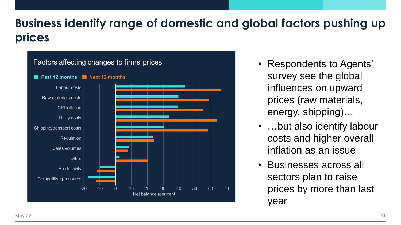## **Business identify range of domestic and global factors pushing up prices**



- Respondents to Agents' survey see the global influences on upward prices (raw materials, energy, shipping)…
- …but also identify labour costs and higher overall inflation as an issue
- Businesses across all sectors plan to raise prices by more than last year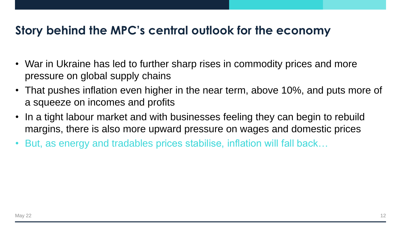- War in Ukraine has led to further sharp rises in commodity prices and more pressure on global supply chains
- That pushes inflation even higher in the near term, above 10%, and puts more of a squeeze on incomes and profits
- In a tight labour market and with businesses feeling they can begin to rebuild margins, there is also more upward pressure on wages and domestic prices
- But, as energy and tradables prices stabilise, inflation will fall back...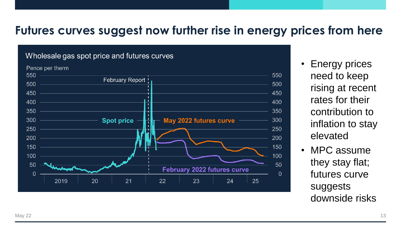#### **Futures curves suggest now further rise in energy prices from here**

#### Wholesale gas spot price and futures curves



- **Energy prices** need to keep rising at recent rates for their contribution to inflation to stay elevated
- MPC assume they stay flat; futures curve suggests downside risks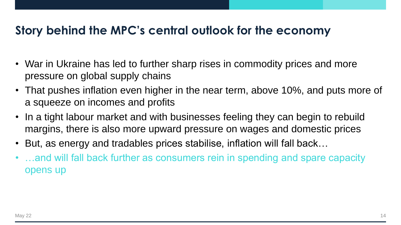- War in Ukraine has led to further sharp rises in commodity prices and more pressure on global supply chains
- That pushes inflation even higher in the near term, above 10%, and puts more of a squeeze on incomes and profits
- In a tight labour market and with businesses feeling they can begin to rebuild margins, there is also more upward pressure on wages and domestic prices
- But, as energy and tradables prices stabilise, inflation will fall back…
- ...and will fall back further as consumers rein in spending and spare capacity opens up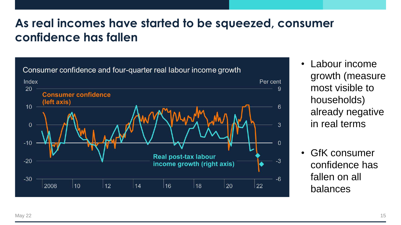#### **As real incomes have started to be squeezed, consumer confidence has fallen**



- Labour income growth (measure most visible to households) already negative in real terms
- GfK consumer confidence has fallen on all balances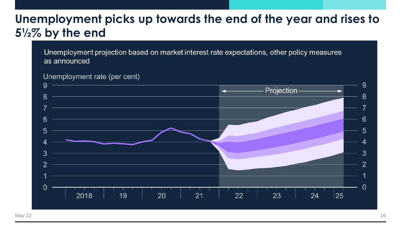#### **Unemployment picks up towards the end of the year and rises to 5½% by the end**

Unemployment projection based on market interest rate expectations, other policy measures as announced



Unemployment rate (per cent)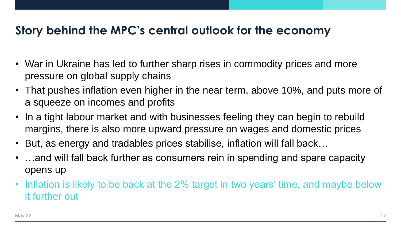- War in Ukraine has led to further sharp rises in commodity prices and more pressure on global supply chains
- That pushes inflation even higher in the near term, above 10%, and puts more of a squeeze on incomes and profits
- In a tight labour market and with businesses feeling they can begin to rebuild margins, there is also more upward pressure on wages and domestic prices
- But, as energy and tradables prices stabilise, inflation will fall back…
- ...and will fall back further as consumers rein in spending and spare capacity opens up
- Inflation is likely to be back at the 2% target in two years' time, and maybe below it further out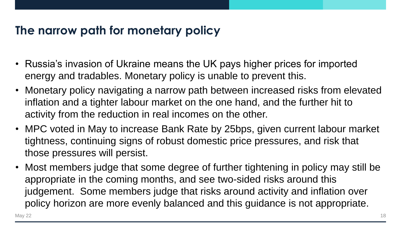#### **The narrow path for monetary policy**

- Russia's invasion of Ukraine means the UK pays higher prices for imported energy and tradables. Monetary policy is unable to prevent this.
- Monetary policy navigating a narrow path between increased risks from elevated inflation and a tighter labour market on the one hand, and the further hit to activity from the reduction in real incomes on the other.
- MPC voted in May to increase Bank Rate by 25bps, given current labour market tightness, continuing signs of robust domestic price pressures, and risk that those pressures will persist.
- Most members judge that some degree of further tightening in policy may still be appropriate in the coming months, and see two-sided risks around this judgement. Some members judge that risks around activity and inflation over policy horizon are more evenly balanced and this guidance is not appropriate.